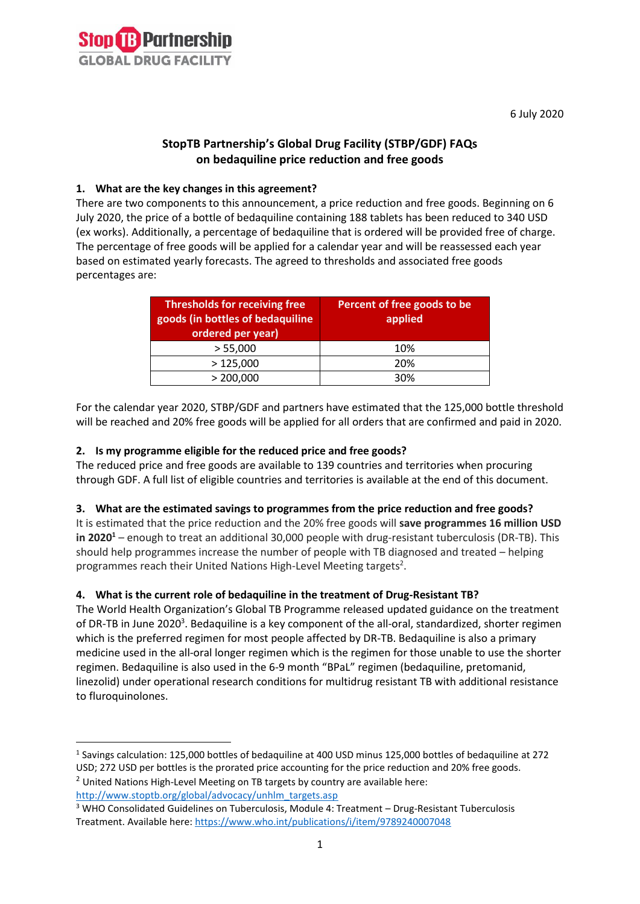

6 July 2020

## **StopTB Partnership's Global Drug Facility (STBP/GDF) FAQs on bedaquiline price reduction and free goods**

## **1. What are the key changes in this agreement?**

There are two components to this announcement, a price reduction and free goods. Beginning on 6 July 2020, the price of a bottle of bedaquiline containing 188 tablets has been reduced to 340 USD (ex works). Additionally, a percentage of bedaquiline that is ordered will be provided free of charge. The percentage of free goods will be applied for a calendar year and will be reassessed each year based on estimated yearly forecasts. The agreed to thresholds and associated free goods percentages are:

| <b>Thresholds for receiving free</b><br>goods (in bottles of bedaquiline<br>ordered per year) | Percent of free goods to be<br>applied |
|-----------------------------------------------------------------------------------------------|----------------------------------------|
| > 55,000                                                                                      | 10%                                    |
| >125,000                                                                                      | 20%                                    |
| > 200,000                                                                                     | 30%                                    |

For the calendar year 2020, STBP/GDF and partners have estimated that the 125,000 bottle threshold will be reached and 20% free goods will be applied for all orders that are confirmed and paid in 2020.

## **2. Is my programme eligible for the reduced price and free goods?**

The reduced price and free goods are available to 139 countries and territories when procuring through GDF. A full list of eligible countries and territories is available at the end of this document.

#### **3. What are the estimated savings to programmes from the price reduction and free goods?**

It is estimated that the price reduction and the 20% free goods will **save programmes 16 million USD in 2020<sup>1</sup>** – enough to treat an additional 30,000 people with drug-resistant tuberculosis (DR-TB). This should help programmes increase the number of people with TB diagnosed and treated – helping programmes reach their United Nations High-Level Meeting targets<sup>2</sup>.

## **4. What is the current role of bedaquiline in the treatment of Drug-Resistant TB?**

The World Health Organization's Global TB Programme released updated guidance on the treatment of DR-TB in June 2020<sup>3</sup>. Bedaquiline is a key component of the all-oral, standardized, shorter regimen which is the preferred regimen for most people affected by DR-TB. Bedaquiline is also a primary medicine used in the all-oral longer regimen which is the regimen for those unable to use the shorter regimen. Bedaquiline is also used in the 6-9 month "BPaL" regimen (bedaquiline, pretomanid, linezolid) under operational research conditions for multidrug resistant TB with additional resistance to fluroquinolones.

<sup>&</sup>lt;sup>1</sup> Savings calculation: 125,000 bottles of bedaquiline at 400 USD minus 125,000 bottles of bedaquiline at 272 USD; 272 USD per bottles is the prorated price accounting for the price reduction and 20% free goods.

 $2$  United Nations High-Level Meeting on TB targets by country are available here: [http://www.stoptb.org/global/advocacy/unhlm\\_targets.asp](http://www.stoptb.org/global/advocacy/unhlm_targets.asp)

<sup>&</sup>lt;sup>3</sup> WHO Consolidated Guidelines on Tuberculosis, Module 4: Treatment – Drug-Resistant Tuberculosis Treatment. Available here[: https://www.who.int/publications/i/item/9789240007048](https://www.who.int/publications/i/item/9789240007048)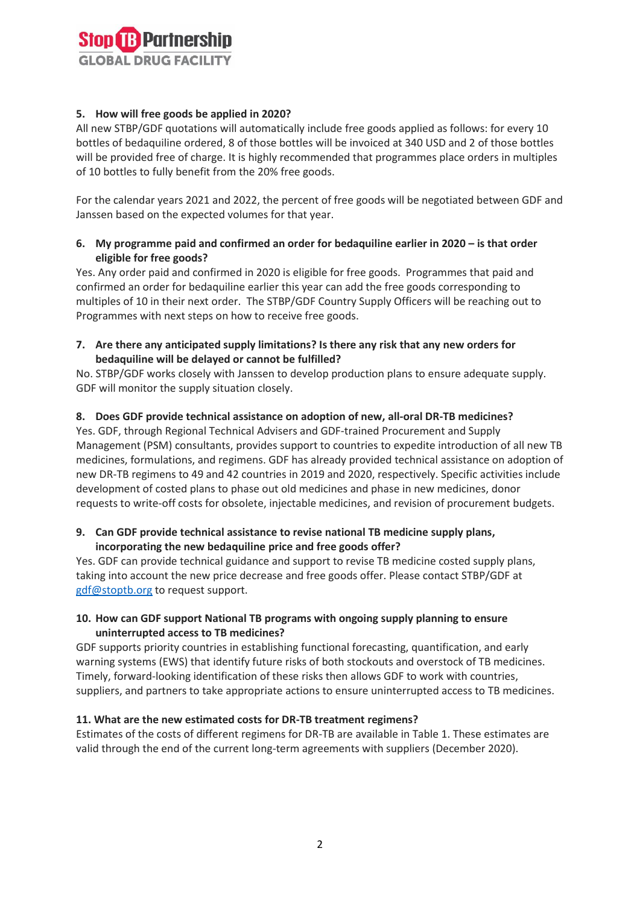

## **5. How will free goods be applied in 2020?**

All new STBP/GDF quotations will automatically include free goods applied as follows: for every 10 bottles of bedaquiline ordered, 8 of those bottles will be invoiced at 340 USD and 2 of those bottles will be provided free of charge. It is highly recommended that programmes place orders in multiples of 10 bottles to fully benefit from the 20% free goods.

For the calendar years 2021 and 2022, the percent of free goods will be negotiated between GDF and Janssen based on the expected volumes for that year.

## **6. My programme paid and confirmed an order for bedaquiline earlier in 2020 – is that order eligible for free goods?**

Yes. Any order paid and confirmed in 2020 is eligible for free goods. Programmes that paid and confirmed an order for bedaquiline earlier this year can add the free goods corresponding to multiples of 10 in their next order. The STBP/GDF Country Supply Officers will be reaching out to Programmes with next steps on how to receive free goods.

**7. Are there any anticipated supply limitations? Is there any risk that any new orders for bedaquiline will be delayed or cannot be fulfilled?**

No. STBP/GDF works closely with Janssen to develop production plans to ensure adequate supply. GDF will monitor the supply situation closely.

#### **8. Does GDF provide technical assistance on adoption of new, all-oral DR-TB medicines?**

Yes. GDF, through Regional Technical Advisers and GDF-trained Procurement and Supply Management (PSM) consultants, provides support to countries to expedite introduction of all new TB medicines, formulations, and regimens. GDF has already provided technical assistance on adoption of new DR-TB regimens to 49 and 42 countries in 2019 and 2020, respectively. Specific activities include development of costed plans to phase out old medicines and phase in new medicines, donor requests to write-off costs for obsolete, injectable medicines, and revision of procurement budgets.

## **9. Can GDF provide technical assistance to revise national TB medicine supply plans, incorporating the new bedaquiline price and free goods offer?**

Yes. GDF can provide technical guidance and support to revise TB medicine costed supply plans, taking into account the new price decrease and free goods offer. Please contact STBP/GDF at [gdf@stoptb.org](mailto:gdf@stoptb.org) to request support.

## **10. How can GDF support National TB programs with ongoing supply planning to ensure uninterrupted access to TB medicines?**

GDF supports priority countries in establishing functional forecasting, quantification, and early warning systems (EWS) that identify future risks of both stockouts and overstock of TB medicines. Timely, forward-looking identification of these risks then allows GDF to work with countries, suppliers, and partners to take appropriate actions to ensure uninterrupted access to TB medicines.

#### **11. What are the new estimated costs for DR-TB treatment regimens?**

Estimates of the costs of different regimens for DR-TB are available in Table 1. These estimates are valid through the end of the current long-term agreements with suppliers (December 2020).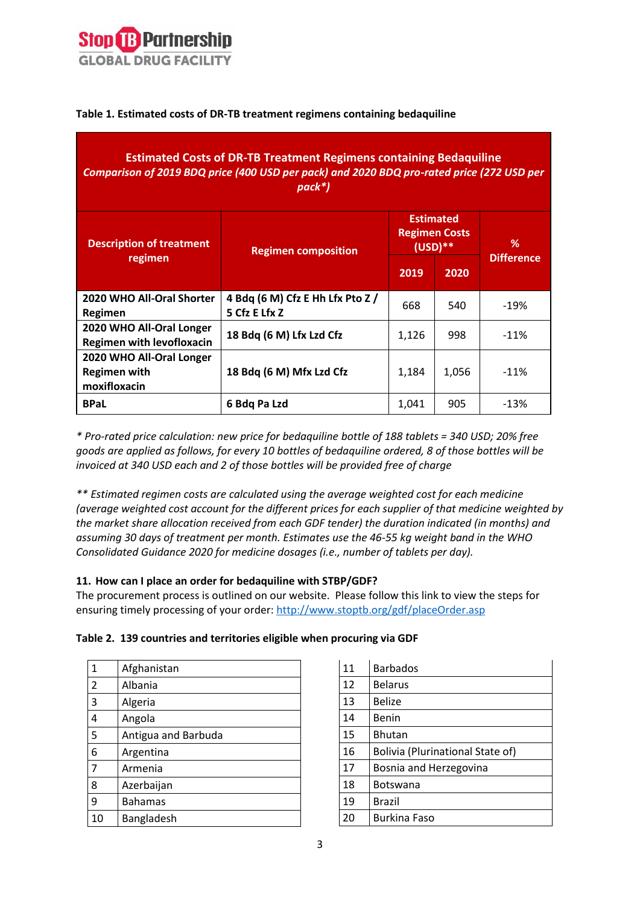

**Table 1. Estimated costs of DR-TB treatment regimens containing bedaquiline**

| <b>Estimated Costs of DR-TB Treatment Regimens containing Bedaquiline</b><br>Comparison of 2019 BDQ price (400 USD per pack) and 2020 BDQ pro-rated price (272 USD per<br>pack*) |                                                   |                                                       |       |                   |  |
|----------------------------------------------------------------------------------------------------------------------------------------------------------------------------------|---------------------------------------------------|-------------------------------------------------------|-------|-------------------|--|
| <b>Description of treatment</b>                                                                                                                                                  | <b>Regimen composition</b>                        | <b>Estimated</b><br><b>Regimen Costs</b><br>$(USD)**$ |       | ℅                 |  |
| regimen                                                                                                                                                                          |                                                   | 2019                                                  | 2020  | <b>Difference</b> |  |
| 2020 WHO All-Oral Shorter<br>Regimen                                                                                                                                             | 4 Bdq (6 M) Cfz E Hh Lfx Pto Z /<br>5 Cfz E Lfx Z | 668                                                   | 540   | $-19%$            |  |
| 2020 WHO All-Oral Longer<br><b>Regimen with levofloxacin</b>                                                                                                                     | 18 Bdq (6 M) Lfx Lzd Cfz                          | 1,126                                                 | 998   | $-11%$            |  |
| 2020 WHO All-Oral Longer<br><b>Regimen with</b><br>moxifloxacin                                                                                                                  | 18 Bdq (6 M) Mfx Lzd Cfz                          | 1,184                                                 | 1,056 | $-11%$            |  |
| <b>BPaL</b>                                                                                                                                                                      | 6 Bdq Pa Lzd                                      | 1,041                                                 | 905   | $-13%$            |  |

*\* Pro-rated price calculation: new price for bedaquiline bottle of 188 tablets = 340 USD; 20% free goods are applied as follows, for every 10 bottles of bedaquiline ordered, 8 of those bottles will be invoiced at 340 USD each and 2 of those bottles will be provided free of charge*

*\*\* Estimated regimen costs are calculated using the average weighted cost for each medicine (average weighted cost account for the different prices for each supplier of that medicine weighted by the market share allocation received from each GDF tender) the duration indicated (in months) and assuming 30 days of treatment per month. Estimates use the 46-55 kg weight band in the WHO Consolidated Guidance 2020 for medicine dosages (i.e., number of tablets per day).*

## **11. How can I place an order for bedaquiline with STBP/GDF?**

The procurement process is outlined on our website. Please follow this link to view the steps for ensuring timely processing of your order:<http://www.stoptb.org/gdf/placeOrder.asp>

|  |  |  |  | Table 2. 139 countries and territories eligible when procuring via GDF |  |  |  |  |  |
|--|--|--|--|------------------------------------------------------------------------|--|--|--|--|--|
|--|--|--|--|------------------------------------------------------------------------|--|--|--|--|--|

| 1              | Afghanistan         |
|----------------|---------------------|
| $\overline{2}$ | Albania             |
| 3              | Algeria             |
| 4              | Angola              |
| 5              | Antigua and Barbuda |
| 6              | Argentina           |
| 7              | Armenia             |
| 8              | Azerbaijan          |
| 9              | <b>Bahamas</b>      |
| 10             | Bangladesh          |

| 11 | <b>Barbados</b>                  |
|----|----------------------------------|
| 12 | <b>Belarus</b>                   |
| 13 | <b>Belize</b>                    |
| 14 | Benin                            |
| 15 | <b>Bhutan</b>                    |
| 16 | Bolivia (Plurinational State of) |
| 17 | Bosnia and Herzegovina           |
| 18 | <b>Botswana</b>                  |
| 19 | Brazil                           |
| 20 | <b>Burkina Faso</b>              |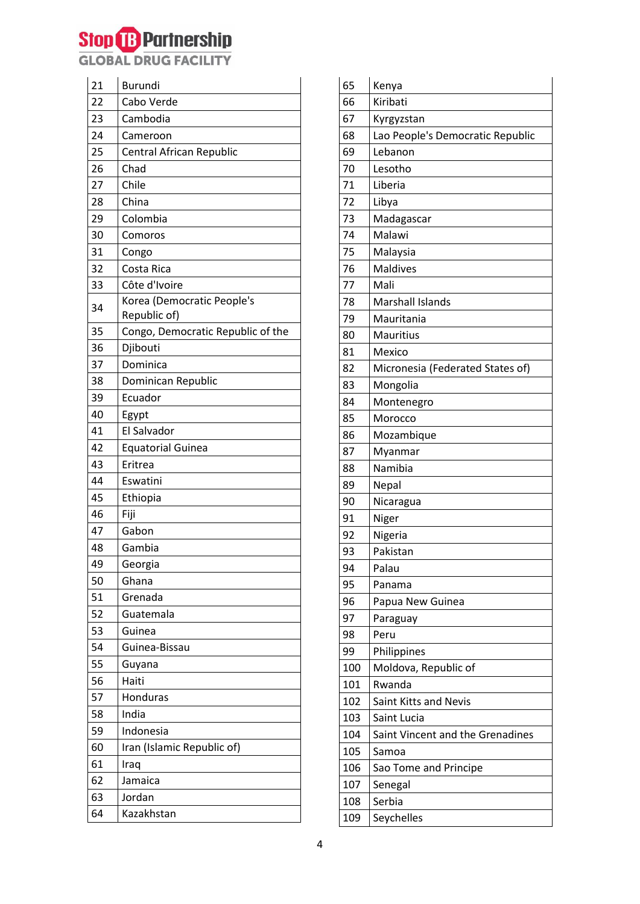## **Stop (B) Partnership**<br>GLOBAL DRUG FACILITY

| 22<br>Cabo Verde<br>23<br>Cambodia<br>24<br>Cameroon<br>25<br>Central African Republic<br>26<br>Chad<br>27<br>Chile<br>28<br>China<br>29<br>Colombia<br>30<br>Comoros<br>31<br>Congo<br>32<br>Costa Rica<br>Côte d'Ivoire<br>33<br>Korea (Democratic People's<br>34<br>Republic of)<br>35<br>Congo, Democratic Republic of the<br>Djibouti<br>36<br>Dominica<br>37<br>38<br>Dominican Republic<br>Ecuador<br>39<br>40<br>Egypt<br>El Salvador<br>41<br>42<br><b>Equatorial Guinea</b><br>43<br>Eritrea<br>44<br>Eswatini<br>45<br>Ethiopia<br>46<br>Fiji<br>47<br>Gabon<br>48<br>Gambia<br>49<br>Georgia<br>50<br>Ghana<br>51<br>Grenada<br>52<br>Guatemala<br>53<br>Guinea<br>54<br>Guinea-Bissau<br>55<br>Guyana<br>56<br>Haiti<br>57<br>Honduras<br>58<br>India<br>59<br>Indonesia<br>Iran (Islamic Republic of)<br>60<br>61<br>Iraq<br>Jamaica<br>62<br>63<br>Jordan<br>64<br>Kazakhstan | 21 | <b>Burundi</b> |
|----------------------------------------------------------------------------------------------------------------------------------------------------------------------------------------------------------------------------------------------------------------------------------------------------------------------------------------------------------------------------------------------------------------------------------------------------------------------------------------------------------------------------------------------------------------------------------------------------------------------------------------------------------------------------------------------------------------------------------------------------------------------------------------------------------------------------------------------------------------------------------------------|----|----------------|
|                                                                                                                                                                                                                                                                                                                                                                                                                                                                                                                                                                                                                                                                                                                                                                                                                                                                                              |    |                |
|                                                                                                                                                                                                                                                                                                                                                                                                                                                                                                                                                                                                                                                                                                                                                                                                                                                                                              |    |                |
|                                                                                                                                                                                                                                                                                                                                                                                                                                                                                                                                                                                                                                                                                                                                                                                                                                                                                              |    |                |
|                                                                                                                                                                                                                                                                                                                                                                                                                                                                                                                                                                                                                                                                                                                                                                                                                                                                                              |    |                |
|                                                                                                                                                                                                                                                                                                                                                                                                                                                                                                                                                                                                                                                                                                                                                                                                                                                                                              |    |                |
|                                                                                                                                                                                                                                                                                                                                                                                                                                                                                                                                                                                                                                                                                                                                                                                                                                                                                              |    |                |
|                                                                                                                                                                                                                                                                                                                                                                                                                                                                                                                                                                                                                                                                                                                                                                                                                                                                                              |    |                |
|                                                                                                                                                                                                                                                                                                                                                                                                                                                                                                                                                                                                                                                                                                                                                                                                                                                                                              |    |                |
|                                                                                                                                                                                                                                                                                                                                                                                                                                                                                                                                                                                                                                                                                                                                                                                                                                                                                              |    |                |
|                                                                                                                                                                                                                                                                                                                                                                                                                                                                                                                                                                                                                                                                                                                                                                                                                                                                                              |    |                |
|                                                                                                                                                                                                                                                                                                                                                                                                                                                                                                                                                                                                                                                                                                                                                                                                                                                                                              |    |                |
|                                                                                                                                                                                                                                                                                                                                                                                                                                                                                                                                                                                                                                                                                                                                                                                                                                                                                              |    |                |
|                                                                                                                                                                                                                                                                                                                                                                                                                                                                                                                                                                                                                                                                                                                                                                                                                                                                                              |    |                |
|                                                                                                                                                                                                                                                                                                                                                                                                                                                                                                                                                                                                                                                                                                                                                                                                                                                                                              |    |                |
|                                                                                                                                                                                                                                                                                                                                                                                                                                                                                                                                                                                                                                                                                                                                                                                                                                                                                              |    |                |
|                                                                                                                                                                                                                                                                                                                                                                                                                                                                                                                                                                                                                                                                                                                                                                                                                                                                                              |    |                |
|                                                                                                                                                                                                                                                                                                                                                                                                                                                                                                                                                                                                                                                                                                                                                                                                                                                                                              |    |                |
|                                                                                                                                                                                                                                                                                                                                                                                                                                                                                                                                                                                                                                                                                                                                                                                                                                                                                              |    |                |
|                                                                                                                                                                                                                                                                                                                                                                                                                                                                                                                                                                                                                                                                                                                                                                                                                                                                                              |    |                |
|                                                                                                                                                                                                                                                                                                                                                                                                                                                                                                                                                                                                                                                                                                                                                                                                                                                                                              |    |                |
|                                                                                                                                                                                                                                                                                                                                                                                                                                                                                                                                                                                                                                                                                                                                                                                                                                                                                              |    |                |
|                                                                                                                                                                                                                                                                                                                                                                                                                                                                                                                                                                                                                                                                                                                                                                                                                                                                                              |    |                |
|                                                                                                                                                                                                                                                                                                                                                                                                                                                                                                                                                                                                                                                                                                                                                                                                                                                                                              |    |                |
|                                                                                                                                                                                                                                                                                                                                                                                                                                                                                                                                                                                                                                                                                                                                                                                                                                                                                              |    |                |
|                                                                                                                                                                                                                                                                                                                                                                                                                                                                                                                                                                                                                                                                                                                                                                                                                                                                                              |    |                |
|                                                                                                                                                                                                                                                                                                                                                                                                                                                                                                                                                                                                                                                                                                                                                                                                                                                                                              |    |                |
|                                                                                                                                                                                                                                                                                                                                                                                                                                                                                                                                                                                                                                                                                                                                                                                                                                                                                              |    |                |
|                                                                                                                                                                                                                                                                                                                                                                                                                                                                                                                                                                                                                                                                                                                                                                                                                                                                                              |    |                |
|                                                                                                                                                                                                                                                                                                                                                                                                                                                                                                                                                                                                                                                                                                                                                                                                                                                                                              |    |                |
|                                                                                                                                                                                                                                                                                                                                                                                                                                                                                                                                                                                                                                                                                                                                                                                                                                                                                              |    |                |
|                                                                                                                                                                                                                                                                                                                                                                                                                                                                                                                                                                                                                                                                                                                                                                                                                                                                                              |    |                |
|                                                                                                                                                                                                                                                                                                                                                                                                                                                                                                                                                                                                                                                                                                                                                                                                                                                                                              |    |                |
|                                                                                                                                                                                                                                                                                                                                                                                                                                                                                                                                                                                                                                                                                                                                                                                                                                                                                              |    |                |
|                                                                                                                                                                                                                                                                                                                                                                                                                                                                                                                                                                                                                                                                                                                                                                                                                                                                                              |    |                |
|                                                                                                                                                                                                                                                                                                                                                                                                                                                                                                                                                                                                                                                                                                                                                                                                                                                                                              |    |                |
|                                                                                                                                                                                                                                                                                                                                                                                                                                                                                                                                                                                                                                                                                                                                                                                                                                                                                              |    |                |
|                                                                                                                                                                                                                                                                                                                                                                                                                                                                                                                                                                                                                                                                                                                                                                                                                                                                                              |    |                |
|                                                                                                                                                                                                                                                                                                                                                                                                                                                                                                                                                                                                                                                                                                                                                                                                                                                                                              |    |                |
|                                                                                                                                                                                                                                                                                                                                                                                                                                                                                                                                                                                                                                                                                                                                                                                                                                                                                              |    |                |
|                                                                                                                                                                                                                                                                                                                                                                                                                                                                                                                                                                                                                                                                                                                                                                                                                                                                                              |    |                |
|                                                                                                                                                                                                                                                                                                                                                                                                                                                                                                                                                                                                                                                                                                                                                                                                                                                                                              |    |                |
|                                                                                                                                                                                                                                                                                                                                                                                                                                                                                                                                                                                                                                                                                                                                                                                                                                                                                              |    |                |
|                                                                                                                                                                                                                                                                                                                                                                                                                                                                                                                                                                                                                                                                                                                                                                                                                                                                                              |    |                |

| 65  | Kenya                            |
|-----|----------------------------------|
| 66  | Kiribati                         |
| 67  | Kyrgyzstan                       |
| 68  | Lao People's Democratic Republic |
| 69  | Lebanon                          |
| 70  | Lesotho                          |
| 71  | Liberia                          |
| 72  | Libya                            |
| 73  | Madagascar                       |
| 74  | Malawi                           |
| 75  | Malaysia                         |
| 76  | <b>Maldives</b>                  |
| 77  | Mali                             |
| 78  | <b>Marshall Islands</b>          |
| 79  | Mauritania                       |
| 80  | <b>Mauritius</b>                 |
| 81  | Mexico                           |
| 82  | Micronesia (Federated States of) |
| 83  | Mongolia                         |
| 84  | Montenegro                       |
| 85  | Morocco                          |
| 86  | Mozambique                       |
| 87  | Myanmar                          |
| 88  | Namibia                          |
| 89  | Nepal                            |
| 90  | Nicaragua                        |
| 91  | Niger                            |
| 92  | Nigeria                          |
| 93  | Pakistan                         |
| 94  | Palau                            |
| 95  | Panama                           |
| 96  | Papua New Guinea                 |
| 97  | Paraguay                         |
| 98  | Peru                             |
| 99  | Philippines                      |
| 100 | Moldova, Republic of             |
| 101 | Rwanda                           |
| 102 | <b>Saint Kitts and Nevis</b>     |
| 103 | Saint Lucia                      |
| 104 | Saint Vincent and the Grenadines |
| 105 | Samoa                            |
| 106 | Sao Tome and Principe            |
| 107 | Senegal                          |
| 108 | Serbia                           |
| 109 | Seychelles                       |